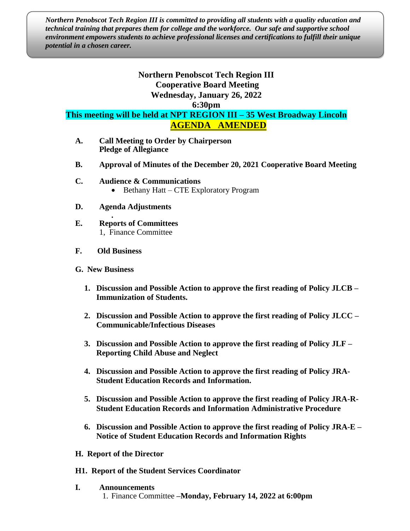*Northern Penobscot Tech Region III is committed to providing all students with a quality education and technical training that prepares them for college and the workforce. Our safe and supportive school environment empowers students to achieve professional licenses and certifications to fulfill their unique potential in a chosen career.*

## **Northern Penobscot Tech Region III Cooperative Board Meeting Wednesday, January 26, 2022**

**6:30pm**

**This meeting will be held at NPT REGION III – 35 West Broadway Lincoln AGENDA AMENDED**

- **A. Call Meeting to Order by Chairperson Pledge of Allegiance**
- **B. Approval of Minutes of the December 20, 2021 Cooperative Board Meeting**
- **C. Audience & Communications** • Bethany Hatt – CTE Exploratory Program
- **D. Agenda Adjustments**
- **. E. Reports of Committees** 1, Finance Committee
- **F. Old Business**
- **G. New Business**
	- **1. Discussion and Possible Action to approve the first reading of Policy JLCB – Immunization of Students.**
	- **2. Discussion and Possible Action to approve the first reading of Policy JLCC – Communicable/Infectious Diseases**
	- **3. Discussion and Possible Action to approve the first reading of Policy JLF – Reporting Child Abuse and Neglect**
	- **4. Discussion and Possible Action to approve the first reading of Policy JRA-Student Education Records and Information.**
	- **5. Discussion and Possible Action to approve the first reading of Policy JRA-R-Student Education Records and Information Administrative Procedure**
	- **6. Discussion and Possible Action to approve the first reading of Policy JRA-E – Notice of Student Education Records and Information Rights**
- **H. Report of the Director**
- **H1. Report of the Student Services Coordinator**
- **I. Announcements** 1. Finance Committee **–Monday, February 14, 2022 at 6:00pm**